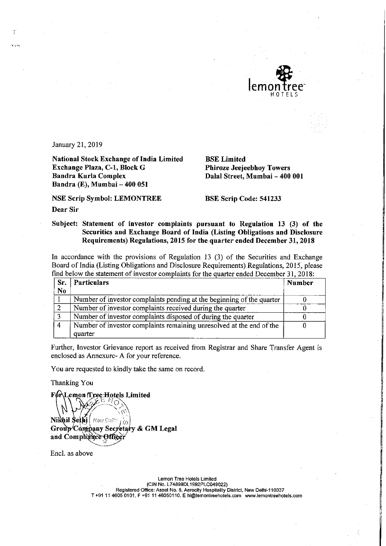

January 21, 2019

National Stock Exchange of India Limited<br>
BSE Limited<br>
Brackhange Plaza, C-1, Block G<br>
Bhiroze Jeejeebhoy Towers Exchange Plaza, C-1, Block G<br>Bandra Kurla Complex Bandra Kurla Complex<br>Bandra Kurla Complex Dalal Street, Mumbai – 400 001 Bandra (E), Mumbai — 400 051

NSE Scrip Symbol: LEMONTREE BSE Scrip Code: 541233

Dear Sir

## Subject: Statement of investor complaints pursuant to Regulation <sup>13</sup> (3) of the Securities and Exchange Board of India (Listing Obligations and Disclosure Requirements) Regulations, <sup>2015</sup> for the quarter ended December 31, <sup>2018</sup>

In accordance with the provisions of Regulation <sup>13</sup> (3) of the Securities and Exchange Board of India (Listing Obligations and Disclosure Requirements) Regulations, 2015; please find below the statement of investor complaints for the quarter ended December 31, 2018:

| Sr.            | <b>Particulars</b>                                                    | Number |
|----------------|-----------------------------------------------------------------------|--------|
| N <sub>0</sub> |                                                                       |        |
|                | Number of investor complaints pending at the beginning of the quarter |        |
| $\overline{2}$ | Number of investor complaints received during the quarter             |        |
|                | Number of investor complaints disposed of during the quarter          |        |
|                | Number of investor complaints remaining unresolved at the end of the  |        |
|                | quarter                                                               |        |

Further, Investor Grievance report as received from Registrar and Share Transfer Agent is enclosed as Annexure- A for your reference.

You are requested to kindly take the same on record.

Thanking You

**F6r\Lemon Tree Hotels Limited** 

Nikhil Sethj New Dollar j co Group Company Secretary & GM Legal and Compliance Officer

Encl. as above

Lemon Tree Hotels Limited (CIN No. L74899DL1992PLC049022) Registered Office: Asset No. 6, Aerocity Hospitality District, New Delhi-110037

T+91 <sup>11</sup> 4605 0101, <sup>F</sup> +91 <sup>11</sup> 46050110. E hi@lemontreehotels.com www.1emontreehotels.com